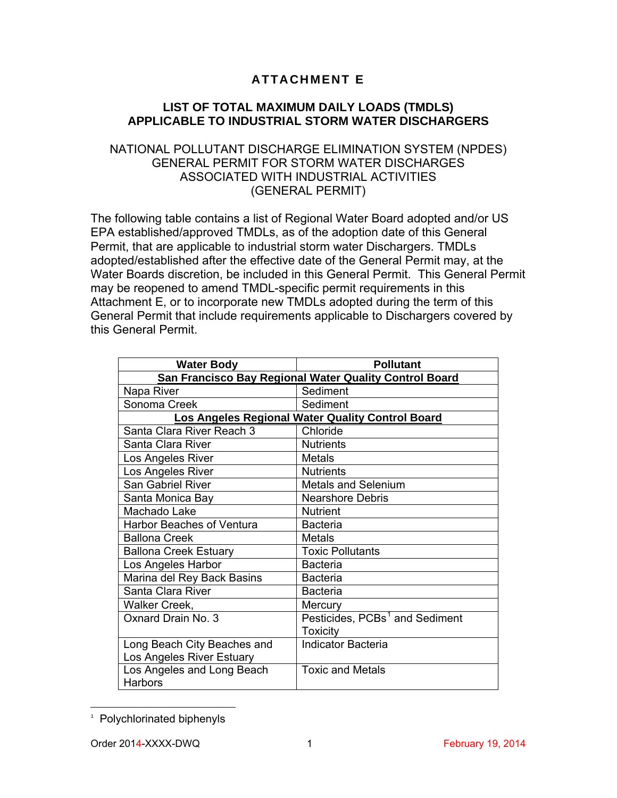## **ATTACHMENT E**

## **LIST OF TOTAL MAXIMUM DAILY LOADS (TMDLS) APPLICABLE TO INDUSTRIAL STORM WATER DISCHARGERS**

## NATIONAL POLLUTANT DISCHARGE ELIMINATION SYSTEM (NPDES) GENERAL PERMIT FOR STORM WATER DISCHARGES ASSOCIATED WITH INDUSTRIAL ACTIVITIES (GENERAL PERMIT)

The following table contains a list of Regional Water Board adopted and/or US EPA established/approved TMDLs, as of the adoption date of this General Permit, that are applicable to industrial storm water Dischargers. TMDLs adopted/established after the effective date of the General Permit may, at the Water Boards discretion, be included in this General Permit. This General Permit may be reopened to amend TMDL-specific permit requirements in this Attachment E, or to incorporate new TMDLs adopted during the term of this General Permit that include requirements applicable to Dischargers covered by this General Permit.

| <b>Water Body</b>                                      | <b>Pollutant</b>                           |
|--------------------------------------------------------|--------------------------------------------|
| San Francisco Bay Regional Water Quality Control Board |                                            |
| Napa River                                             | Sediment                                   |
| Sonoma Creek                                           | Sediment                                   |
| Los Angeles Regional Water Quality Control Board       |                                            |
| Santa Clara River Reach 3                              | Chloride                                   |
| Santa Clara River                                      | <b>Nutrients</b>                           |
| Los Angeles River                                      | Metals                                     |
| Los Angeles River                                      | <b>Nutrients</b>                           |
| San Gabriel River                                      | <b>Metals and Selenium</b>                 |
| Santa Monica Bay                                       | <b>Nearshore Debris</b>                    |
| Machado Lake                                           | <b>Nutrient</b>                            |
| <b>Harbor Beaches of Ventura</b>                       | <b>Bacteria</b>                            |
| <b>Ballona Creek</b>                                   | Metals                                     |
| <b>Ballona Creek Estuary</b>                           | <b>Toxic Pollutants</b>                    |
| Los Angeles Harbor                                     | <b>Bacteria</b>                            |
| Marina del Rey Back Basins                             | <b>Bacteria</b>                            |
| Santa Clara River                                      | <b>Bacteria</b>                            |
| Walker Creek,                                          | Mercury                                    |
| Oxnard Drain No. 3                                     | Pesticides, PCBs <sup>1</sup> and Sediment |
|                                                        | <b>Toxicity</b>                            |
| Long Beach City Beaches and                            | <b>Indicator Bacteria</b>                  |
| Los Angeles River Estuary                              |                                            |
| Los Angeles and Long Beach                             | <b>Toxic and Metals</b>                    |
| Harbors                                                |                                            |

<span id="page-0-0"></span>t 1 Polychlorinated biphenyls